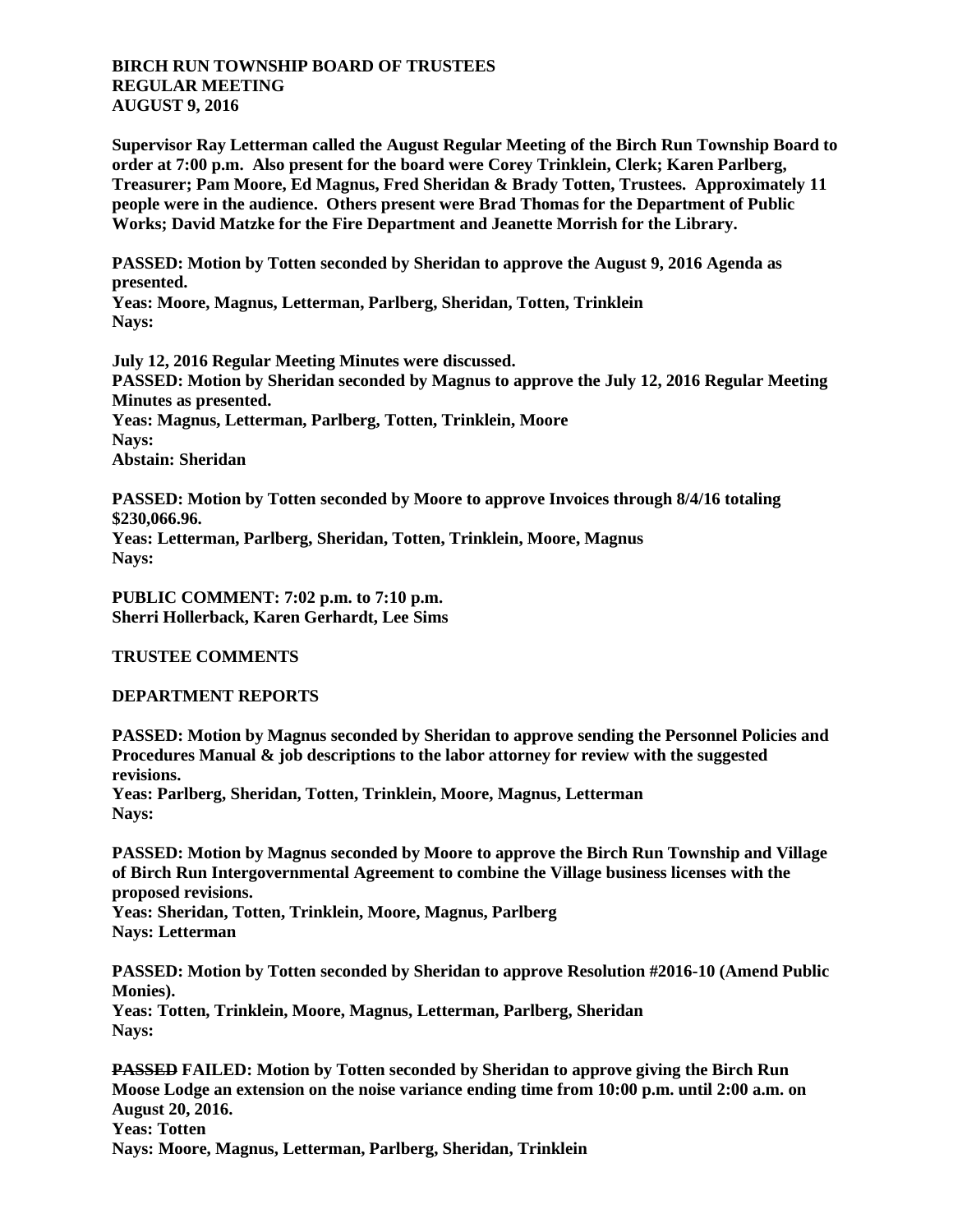## **BIRCH RUN TOWNSHIP BOARD OF TRUSTEES REGULAR MEETING AUGUST 9, 2016**

**Supervisor Ray Letterman called the August Regular Meeting of the Birch Run Township Board to order at 7:00 p.m. Also present for the board were Corey Trinklein, Clerk; Karen Parlberg, Treasurer; Pam Moore, Ed Magnus, Fred Sheridan & Brady Totten, Trustees. Approximately 11 people were in the audience. Others present were Brad Thomas for the Department of Public Works; David Matzke for the Fire Department and Jeanette Morrish for the Library.**

**PASSED: Motion by Totten seconded by Sheridan to approve the August 9, 2016 Agenda as presented. Yeas: Moore, Magnus, Letterman, Parlberg, Sheridan, Totten, Trinklein**

**Nays:** 

**July 12, 2016 Regular Meeting Minutes were discussed. PASSED: Motion by Sheridan seconded by Magnus to approve the July 12, 2016 Regular Meeting Minutes as presented. Yeas: Magnus, Letterman, Parlberg, Totten, Trinklein, Moore Nays: Abstain: Sheridan**

**PASSED: Motion by Totten seconded by Moore to approve Invoices through 8/4/16 totaling \$230,066.96. Yeas: Letterman, Parlberg, Sheridan, Totten, Trinklein, Moore, Magnus Nays:** 

**PUBLIC COMMENT: 7:02 p.m. to 7:10 p.m. Sherri Hollerback, Karen Gerhardt, Lee Sims**

## **TRUSTEE COMMENTS**

## **DEPARTMENT REPORTS**

**PASSED: Motion by Magnus seconded by Sheridan to approve sending the Personnel Policies and Procedures Manual & job descriptions to the labor attorney for review with the suggested revisions.**

**Yeas: Parlberg, Sheridan, Totten, Trinklein, Moore, Magnus, Letterman Nays:** 

**PASSED: Motion by Magnus seconded by Moore to approve the Birch Run Township and Village of Birch Run Intergovernmental Agreement to combine the Village business licenses with the proposed revisions.**

**Yeas: Sheridan, Totten, Trinklein, Moore, Magnus, Parlberg Nays: Letterman**

**PASSED: Motion by Totten seconded by Sheridan to approve Resolution #2016-10 (Amend Public Monies).**

**Yeas: Totten, Trinklein, Moore, Magnus, Letterman, Parlberg, Sheridan Nays:** 

**PASSED FAILED: Motion by Totten seconded by Sheridan to approve giving the Birch Run Moose Lodge an extension on the noise variance ending time from 10:00 p.m. until 2:00 a.m. on August 20, 2016. Yeas: Totten Nays: Moore, Magnus, Letterman, Parlberg, Sheridan, Trinklein**